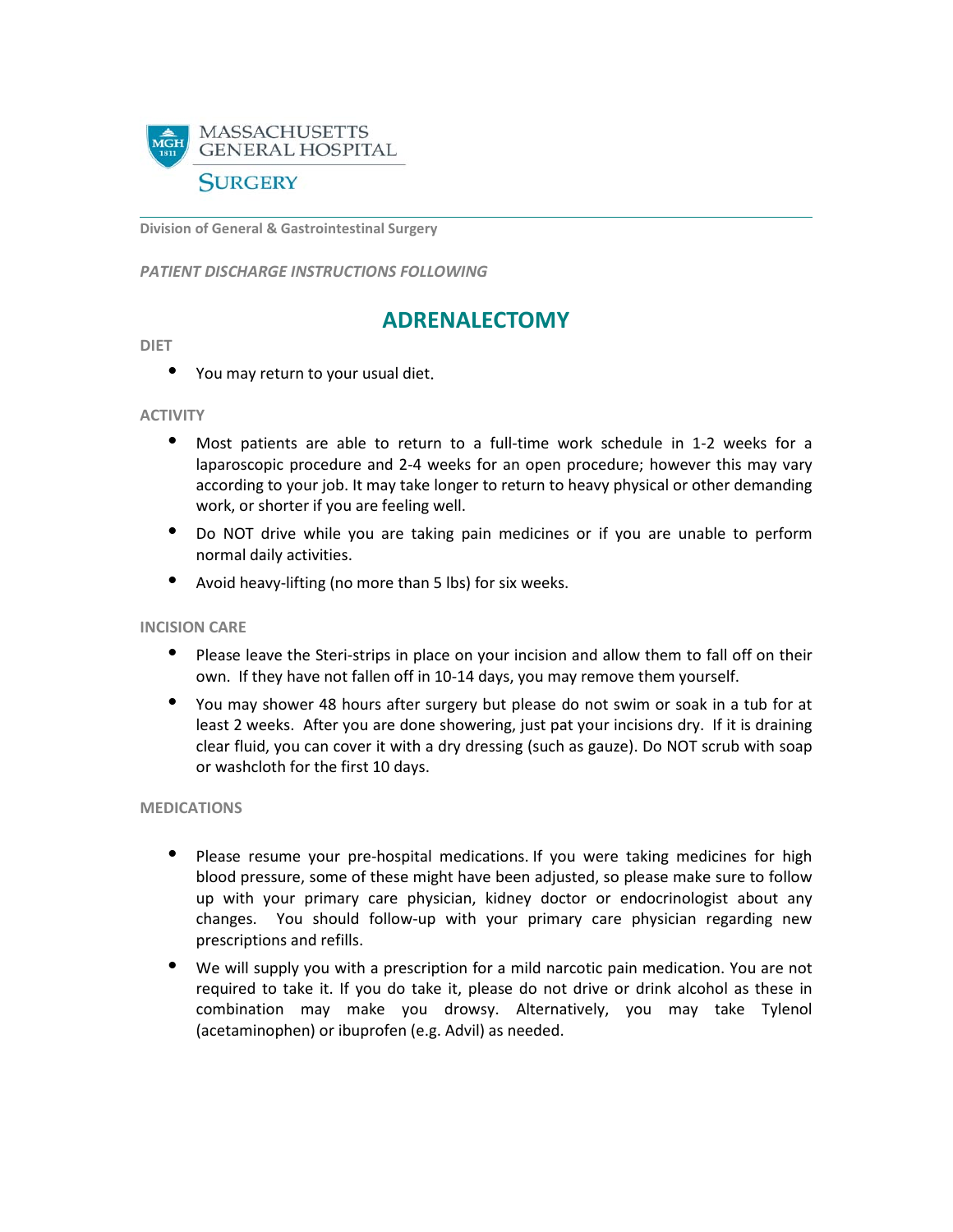

**Division of General & Gastrointestinal Surgery**

*PATIENT DISCHARGE INSTRUCTIONS FOLLOWING* 

# **ADRENALECTOMY**

#### **DIET**

• You may return to your usual diet.

#### **ACTIVITY**

- Most patients are able to return to a full-time work schedule in 1-2 weeks for a laparoscopic procedure and 2-4 weeks for an open procedure; however this may vary according to your job. It may take longer to return to heavy physical or other demanding work, or shorter if you are feeling well.
- Do NOT drive while you are taking pain medicines or if you are unable to perform normal daily activities.
- Avoid heavy-lifting (no more than 5 lbs) for six weeks.

#### **INCISION CARE**

- Please leave the Steri-strips in place on your incision and allow them to fall off on their own. If they have not fallen off in 10-14 days, you may remove them yourself.
- You may shower 48 hours after surgery but please do not swim or soak in a tub for at least 2 weeks. After you are done showering, just pat your incisions dry. If it is draining clear fluid, you can cover it with a dry dressing (such as gauze). Do NOT scrub with soap or washcloth for the first 10 days.

#### **MEDICATIONS**

- Please resume your pre-hospital medications. If you were taking medicines for high blood pressure, some of these might have been adjusted, so please make sure to follow up with your primary care physician, kidney doctor or endocrinologist about any changes. You should follow-up with your primary care physician regarding new prescriptions and refills.
- We will supply you with a prescription for a mild narcotic pain medication. You are not required to take it. If you do take it, please do not drive or drink alcohol as these in combination may make you drowsy. Alternatively, you may take Tylenol (acetaminophen) or ibuprofen (e.g. Advil) as needed.